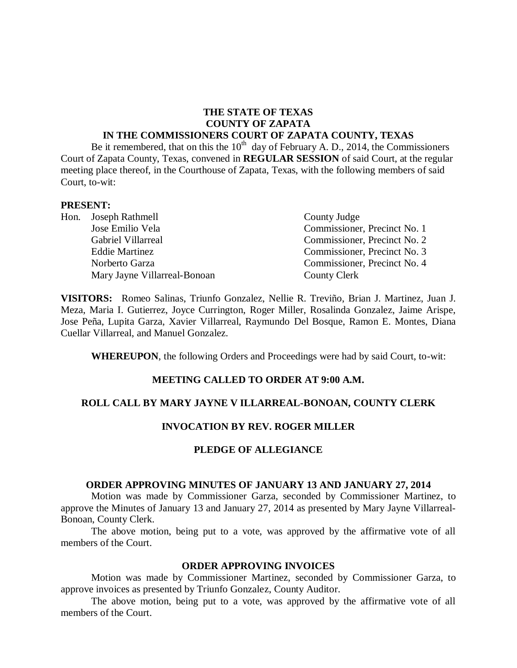# **THE STATE OF TEXAS COUNTY OF ZAPATA**

#### **IN THE COMMISSIONERS COURT OF ZAPATA COUNTY, TEXAS**

Be it remembered, that on this the  $10^{th}$  day of February A. D., 2014, the Commissioners Court of Zapata County, Texas, convened in **REGULAR SESSION** of said Court, at the regular meeting place thereof, in the Courthouse of Zapata, Texas, with the following members of said Court, to-wit:

#### **PRESENT:**

|  | Hon. Joseph Rathmell         | County Judge                 |
|--|------------------------------|------------------------------|
|  | Jose Emilio Vela             | Commissioner, Precinct No. 1 |
|  | Gabriel Villarreal           | Commissioner, Precinct No. 2 |
|  | <b>Eddie Martinez</b>        | Commissioner, Precinct No. 3 |
|  | Norberto Garza               | Commissioner, Precinct No. 4 |
|  | Mary Jayne Villarreal-Bonoan | County Clerk                 |

**VISITORS:** Romeo Salinas, Triunfo Gonzalez, Nellie R. Treviño, Brian J. Martinez, Juan J. Meza, Maria I. Gutierrez, Joyce Currington, Roger Miller, Rosalinda Gonzalez, Jaime Arispe, Jose Peña, Lupita Garza, Xavier Villarreal, Raymundo Del Bosque, Ramon E. Montes, Diana Cuellar Villarreal, and Manuel Gonzalez.

**WHEREUPON**, the following Orders and Proceedings were had by said Court, to-wit:

## **MEETING CALLED TO ORDER AT 9:00 A.M.**

## **ROLL CALL BY MARY JAYNE V ILLARREAL-BONOAN, COUNTY CLERK**

## **INVOCATION BY REV. ROGER MILLER**

#### **PLEDGE OF ALLEGIANCE**

#### **ORDER APPROVING MINUTES OF JANUARY 13 AND JANUARY 27, 2014**

Motion was made by Commissioner Garza, seconded by Commissioner Martinez, to approve the Minutes of January 13 and January 27, 2014 as presented by Mary Jayne Villarreal-Bonoan, County Clerk.

The above motion, being put to a vote, was approved by the affirmative vote of all members of the Court.

#### **ORDER APPROVING INVOICES**

Motion was made by Commissioner Martinez, seconded by Commissioner Garza, to approve invoices as presented by Triunfo Gonzalez, County Auditor.

The above motion, being put to a vote, was approved by the affirmative vote of all members of the Court.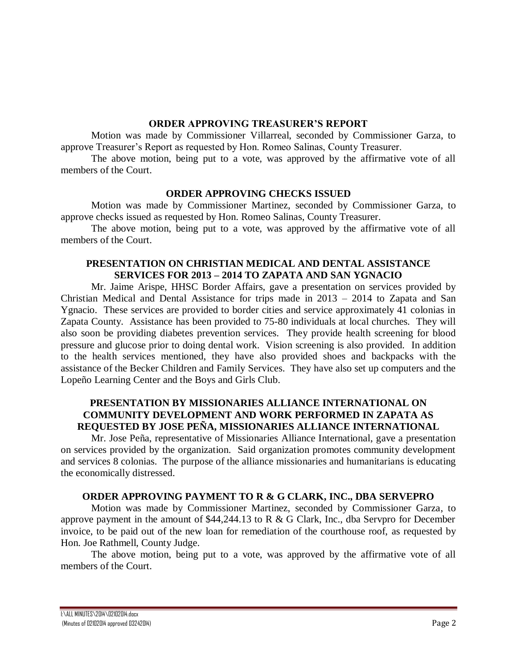#### **ORDER APPROVING TREASURER'S REPORT**

Motion was made by Commissioner Villarreal, seconded by Commissioner Garza, to approve Treasurer's Report as requested by Hon. Romeo Salinas, County Treasurer.

The above motion, being put to a vote, was approved by the affirmative vote of all members of the Court.

## **ORDER APPROVING CHECKS ISSUED**

Motion was made by Commissioner Martinez, seconded by Commissioner Garza, to approve checks issued as requested by Hon. Romeo Salinas, County Treasurer.

The above motion, being put to a vote, was approved by the affirmative vote of all members of the Court.

## **PRESENTATION ON CHRISTIAN MEDICAL AND DENTAL ASSISTANCE SERVICES FOR 2013 – 2014 TO ZAPATA AND SAN YGNACIO**

Mr. Jaime Arispe, HHSC Border Affairs, gave a presentation on services provided by Christian Medical and Dental Assistance for trips made in 2013 – 2014 to Zapata and San Ygnacio. These services are provided to border cities and service approximately 41 colonias in Zapata County. Assistance has been provided to 75-80 individuals at local churches. They will also soon be providing diabetes prevention services. They provide health screening for blood pressure and glucose prior to doing dental work. Vision screening is also provided. In addition to the health services mentioned, they have also provided shoes and backpacks with the assistance of the Becker Children and Family Services. They have also set up computers and the Lopeño Learning Center and the Boys and Girls Club.

## **PRESENTATION BY MISSIONARIES ALLIANCE INTERNATIONAL ON COMMUNITY DEVELOPMENT AND WORK PERFORMED IN ZAPATA AS REQUESTED BY JOSE PEÑA, MISSIONARIES ALLIANCE INTERNATIONAL**

Mr. Jose Peña, representative of Missionaries Alliance International, gave a presentation on services provided by the organization. Said organization promotes community development and services 8 colonias. The purpose of the alliance missionaries and humanitarians is educating the economically distressed.

## **ORDER APPROVING PAYMENT TO R & G CLARK, INC., DBA SERVEPRO**

Motion was made by Commissioner Martinez, seconded by Commissioner Garza, to approve payment in the amount of \$44,244.13 to R & G Clark, Inc., dba Servpro for December invoice, to be paid out of the new loan for remediation of the courthouse roof, as requested by Hon. Joe Rathmell, County Judge.

The above motion, being put to a vote, was approved by the affirmative vote of all members of the Court.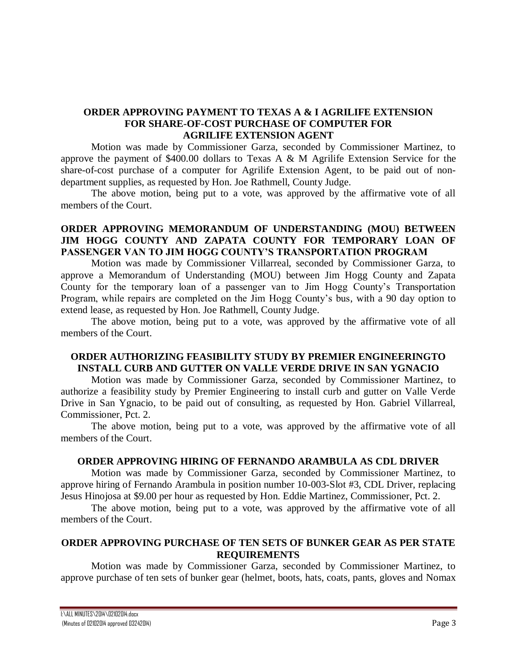## **ORDER APPROVING PAYMENT TO TEXAS A & I AGRILIFE EXTENSION FOR SHARE-OF-COST PURCHASE OF COMPUTER FOR AGRILIFE EXTENSION AGENT**

Motion was made by Commissioner Garza, seconded by Commissioner Martinez, to approve the payment of \$400.00 dollars to Texas A & M Agrilife Extension Service for the share-of-cost purchase of a computer for Agrilife Extension Agent, to be paid out of nondepartment supplies, as requested by Hon. Joe Rathmell, County Judge.

The above motion, being put to a vote, was approved by the affirmative vote of all members of the Court.

## **ORDER APPROVING MEMORANDUM OF UNDERSTANDING (MOU) BETWEEN JIM HOGG COUNTY AND ZAPATA COUNTY FOR TEMPORARY LOAN OF PASSENGER VAN TO JIM HOGG COUNTY'S TRANSPORTATION PROGRAM**

Motion was made by Commissioner Villarreal, seconded by Commissioner Garza, to approve a Memorandum of Understanding (MOU) between Jim Hogg County and Zapata County for the temporary loan of a passenger van to Jim Hogg County's Transportation Program, while repairs are completed on the Jim Hogg County's bus, with a 90 day option to extend lease, as requested by Hon. Joe Rathmell, County Judge.

The above motion, being put to a vote, was approved by the affirmative vote of all members of the Court.

## **ORDER AUTHORIZING FEASIBILITY STUDY BY PREMIER ENGINEERINGTO INSTALL CURB AND GUTTER ON VALLE VERDE DRIVE IN SAN YGNACIO**

Motion was made by Commissioner Garza, seconded by Commissioner Martinez, to authorize a feasibility study by Premier Engineering to install curb and gutter on Valle Verde Drive in San Ygnacio, to be paid out of consulting, as requested by Hon. Gabriel Villarreal, Commissioner, Pct. 2.

The above motion, being put to a vote, was approved by the affirmative vote of all members of the Court.

## **ORDER APPROVING HIRING OF FERNANDO ARAMBULA AS CDL DRIVER**

Motion was made by Commissioner Garza, seconded by Commissioner Martinez, to approve hiring of Fernando Arambula in position number 10-003-Slot #3, CDL Driver, replacing Jesus Hinojosa at \$9.00 per hour as requested by Hon. Eddie Martinez, Commissioner, Pct. 2.

The above motion, being put to a vote, was approved by the affirmative vote of all members of the Court.

## **ORDER APPROVING PURCHASE OF TEN SETS OF BUNKER GEAR AS PER STATE REQUIREMENTS**

Motion was made by Commissioner Garza, seconded by Commissioner Martinez, to approve purchase of ten sets of bunker gear (helmet, boots, hats, coats, pants, gloves and Nomax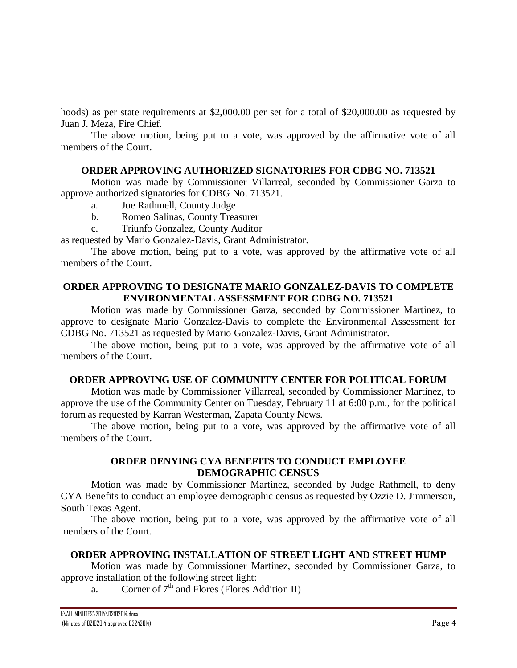hoods) as per state requirements at \$2,000.00 per set for a total of \$20,000.00 as requested by Juan J. Meza, Fire Chief.

The above motion, being put to a vote, was approved by the affirmative vote of all members of the Court.

## **ORDER APPROVING AUTHORIZED SIGNATORIES FOR CDBG NO. 713521**

Motion was made by Commissioner Villarreal, seconded by Commissioner Garza to approve authorized signatories for CDBG No. 713521.

- a. Joe Rathmell, County Judge
- b. Romeo Salinas, County Treasurer
- c. Triunfo Gonzalez, County Auditor

as requested by Mario Gonzalez-Davis, Grant Administrator.

The above motion, being put to a vote, was approved by the affirmative vote of all members of the Court.

#### **ORDER APPROVING TO DESIGNATE MARIO GONZALEZ-DAVIS TO COMPLETE ENVIRONMENTAL ASSESSMENT FOR CDBG NO. 713521**

Motion was made by Commissioner Garza, seconded by Commissioner Martinez, to approve to designate Mario Gonzalez-Davis to complete the Environmental Assessment for CDBG No. 713521 as requested by Mario Gonzalez-Davis, Grant Administrator.

The above motion, being put to a vote, was approved by the affirmative vote of all members of the Court.

## **ORDER APPROVING USE OF COMMUNITY CENTER FOR POLITICAL FORUM**

Motion was made by Commissioner Villarreal, seconded by Commissioner Martinez, to approve the use of the Community Center on Tuesday, February 11 at 6:00 p.m., for the political forum as requested by Karran Westerman, Zapata County News.

The above motion, being put to a vote, was approved by the affirmative vote of all members of the Court.

## **ORDER DENYING CYA BENEFITS TO CONDUCT EMPLOYEE DEMOGRAPHIC CENSUS**

Motion was made by Commissioner Martinez, seconded by Judge Rathmell, to deny CYA Benefits to conduct an employee demographic census as requested by Ozzie D. Jimmerson, South Texas Agent.

The above motion, being put to a vote, was approved by the affirmative vote of all members of the Court.

## **ORDER APPROVING INSTALLATION OF STREET LIGHT AND STREET HUMP**

Motion was made by Commissioner Martinez, seconded by Commissioner Garza, to approve installation of the following street light:

a. Corner of  $7<sup>th</sup>$  and Flores (Flores Addition II)